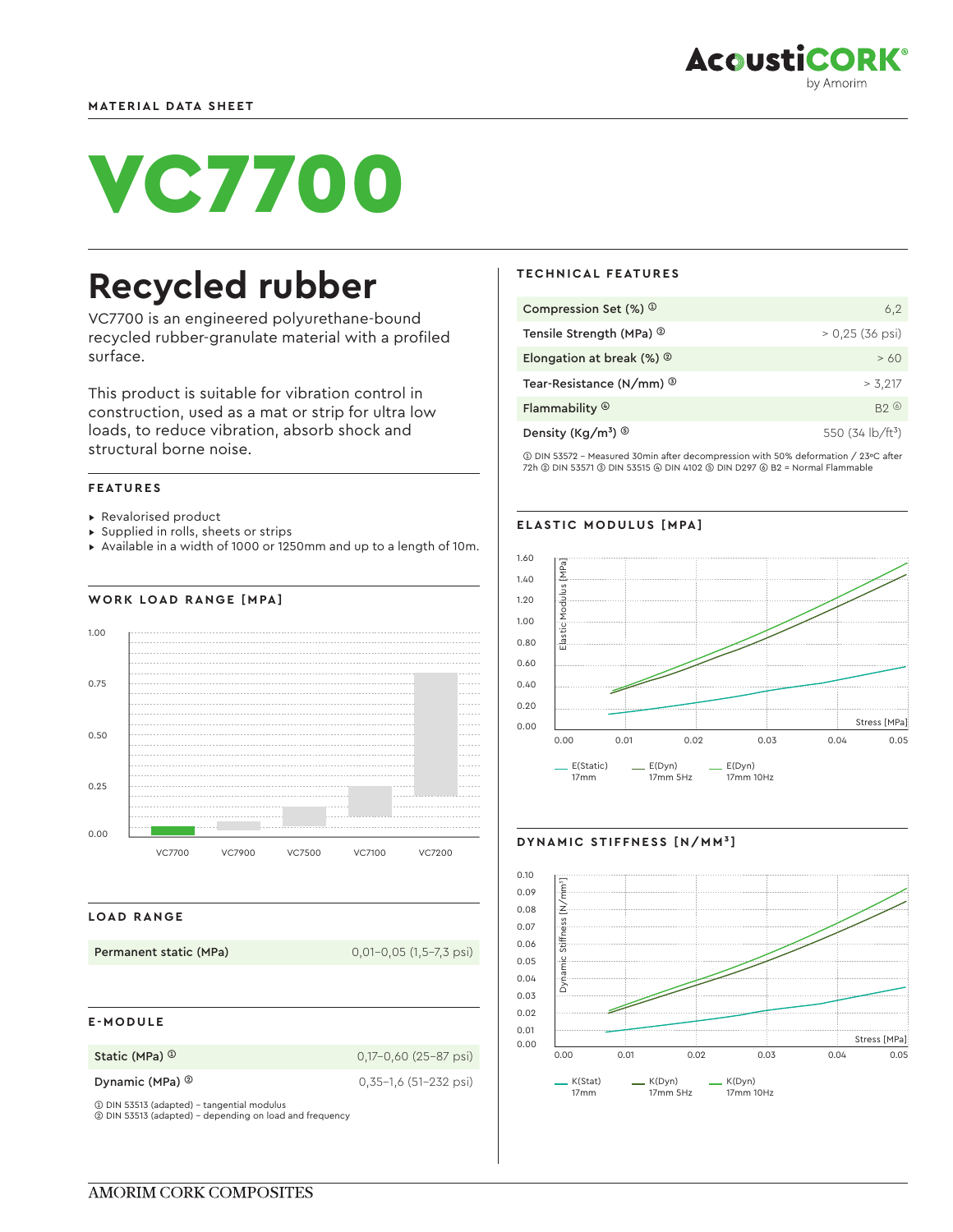# VC7700

## **Recycled rubber**

VC7700 is an engineered polyurethane-bound recycled rubber-granulate material with a profiled surface.

This product is suitable for vibration control in construction, used as a mat or strip for ultra low loads, to reduce vibration, absorb shock and structural borne noise.

#### **FEATURES**

- ▸ Revalorised product
- ▸ Supplied in rolls, sheets or strips
- ▸ Available in a width of 1000 or 1250mm and up to a length of 10m.

#### **WORK LOAD RANGE [MPA]**



#### **LOAD RANGE**

**Permanent static (MPa)** 0,01-0,05 (1,5-7,3 psi)

#### **E-MODULE**

**Static (MPa) <sup>①</sup> 0,17–0,60 (25–87 psi)** 

**Dynamic (MPa) <sup>@</sup>** 0,35-1,6 (51-232 psi)

➀ DIN 53513 (adapted) - tangential modulus ➁ DIN 53513 (adapted) - depending on load and frequency

#### **TECHNICAL FEATURES**

| Compression Set $(\%)$ <sup>①</sup>         | 6,2                        |
|---------------------------------------------|----------------------------|
| Tensile Strength (MPa) <sup>2</sup>         | $> 0.25$ (36 psi)          |
| Elongation at break $(\%)$ $\circ$          | >60                        |
| Tear-Resistance (N/mm) <sup>3</sup>         | > 3.217                    |
| Flammability $\circledcirc$                 | B20                        |
| Density (Kg/m <sup>3</sup> ) $\circledcirc$ | 550 $(34 \text{ lb/ft}^3)$ |

➀ DIN 53572 - Measured 30min after decompression with 50% deformation / 23ºC after 72h ➁ DIN 53571 ➂ DIN 53515 ➃ DIN 4102 ➄ DIN D297 ➅ B2 = Normal Flammable

#### **ELASTIC MODULUS [MPA]**



#### **DYNAMIC STIFFNESS [N/MM³]**